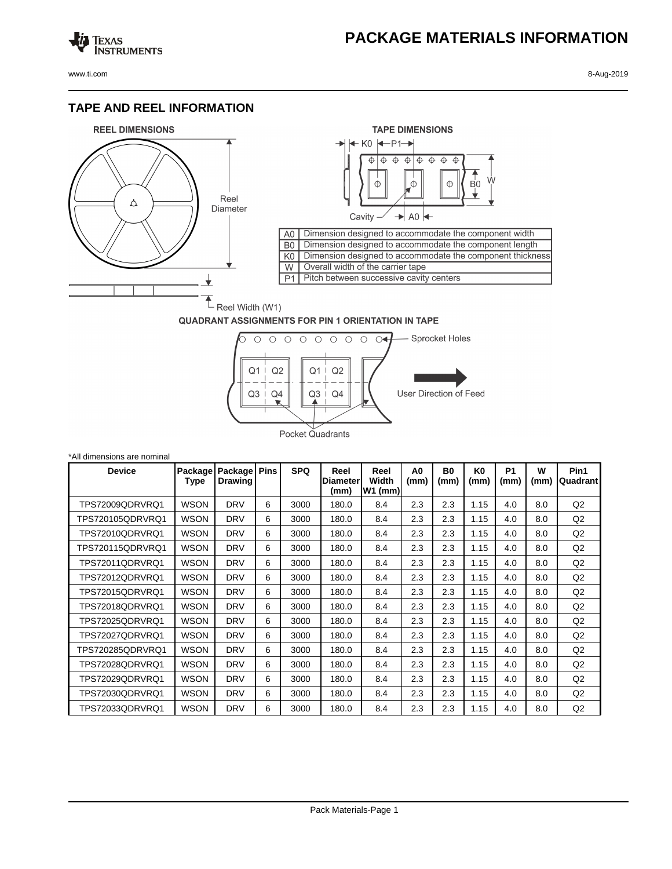## **PACKAGE MATERIALS INFORMATION**

Texas<br>Instruments

## **TAPE AND REEL INFORMATION**





## **QUADRANT ASSIGNMENTS FOR PIN 1 ORIENTATION IN TAPE**



| *All dimensions are nominal |                 |                           |             |            |                                 |                            |            |                   |                        |                        |           |                  |
|-----------------------------|-----------------|---------------------------|-------------|------------|---------------------------------|----------------------------|------------|-------------------|------------------------|------------------------|-----------|------------------|
| <b>Device</b>               | Package<br>Type | Package<br><b>Drawing</b> | <b>Pins</b> | <b>SPQ</b> | Reel<br><b>Diameter</b><br>(mm) | Reel<br>Width<br>$W1$ (mm) | A0<br>(mm) | <b>B0</b><br>(mm) | K <sub>0</sub><br>(mm) | P <sub>1</sub><br>(mm) | W<br>(mm) | Pin1<br>Quadrant |
| TPS72009QDRVRQ1             | <b>WSON</b>     | <b>DRV</b>                | 6           | 3000       | 180.0                           | 8.4                        | 2.3        | 2.3               | 1.15                   | 4.0                    | 8.0       | Q2               |
| TPS720105QDRVRQ1            | <b>WSON</b>     | <b>DRV</b>                | 6           | 3000       | 180.0                           | 8.4                        | 2.3        | 2.3               | 1.15                   | 4.0                    | 8.0       | Q2               |
| TPS72010QDRVRQ1             | <b>WSON</b>     | <b>DRV</b>                | 6           | 3000       | 180.0                           | 8.4                        | 2.3        | 2.3               | 1.15                   | 4.0                    | 8.0       | Q2               |
| TPS720115QDRVRQ1            | <b>WSON</b>     | <b>DRV</b>                | 6           | 3000       | 180.0                           | 8.4                        | 2.3        | 2.3               | 1.15                   | 4.0                    | 8.0       | Q2               |
| TPS72011QDRVRQ1             | <b>WSON</b>     | <b>DRV</b>                | 6           | 3000       | 180.0                           | 8.4                        | 2.3        | 2.3               | 1.15                   | 4.0                    | 8.0       | Q2               |
| TPS72012QDRVRQ1             | <b>WSON</b>     | <b>DRV</b>                | 6           | 3000       | 180.0                           | 8.4                        | 2.3        | 2.3               | 1.15                   | 4.0                    | 8.0       | Q2               |
| TPS72015QDRVRQ1             | <b>WSON</b>     | <b>DRV</b>                | 6           | 3000       | 180.0                           | 8.4                        | 2.3        | 2.3               | 1.15                   | 4.0                    | 8.0       | Q2               |
| TPS72018QDRVRQ1             | <b>WSON</b>     | <b>DRV</b>                | 6           | 3000       | 180.0                           | 8.4                        | 2.3        | 2.3               | 1.15                   | 4.0                    | 8.0       | Q2               |
| TPS72025QDRVRQ1             | <b>WSON</b>     | <b>DRV</b>                | 6           | 3000       | 180.0                           | 8.4                        | 2.3        | 2.3               | 1.15                   | 4.0                    | 8.0       | Q2               |
| TPS72027QDRVRQ1             | <b>WSON</b>     | <b>DRV</b>                | 6           | 3000       | 180.0                           | 8.4                        | 2.3        | 2.3               | 1.15                   | 4.0                    | 8.0       | Q2               |
| TPS720285QDRVRQ1            | <b>WSON</b>     | <b>DRV</b>                | 6           | 3000       | 180.0                           | 8.4                        | 2.3        | 2.3               | 1.15                   | 4.0                    | 8.0       | Q2               |
| TPS72028QDRVRQ1             | <b>WSON</b>     | <b>DRV</b>                | 6           | 3000       | 180.0                           | 8.4                        | 2.3        | 2.3               | 1.15                   | 4.0                    | 8.0       | Q2               |
| TPS72029QDRVRQ1             | <b>WSON</b>     | <b>DRV</b>                | 6           | 3000       | 180.0                           | 8.4                        | 2.3        | 2.3               | 1.15                   | 4.0                    | 8.0       | Q2               |
| TPS72030QDRVRQ1             | <b>WSON</b>     | <b>DRV</b>                | 6           | 3000       | 180.0                           | 8.4                        | 2.3        | 2.3               | 1.15                   | 4.0                    | 8.0       | Q2               |
| TPS72033QDRVRQ1             | <b>WSON</b>     | <b>DRV</b>                | 6           | 3000       | 180.0                           | 8.4                        | 2.3        | 2.3               | 1.15                   | 4.0                    | 8.0       | Q <sub>2</sub>   |